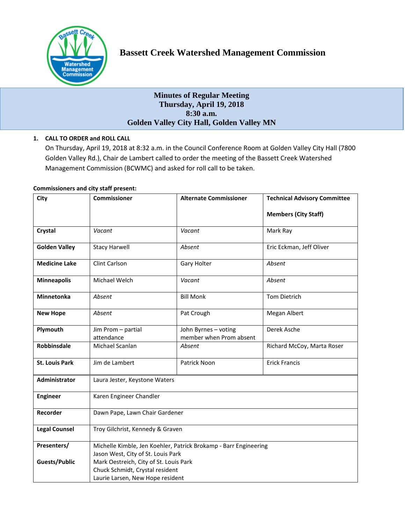

# **Minutes of Regular Meeting Thursday, April 19, 2018 8:30 a.m. Golden Valley City Hall, Golden Valley MN**

# **1. CALL TO ORDER and ROLL CALL**

On Thursday, April 19, 2018 at 8:32 a.m. in the Council Conference Room at Golden Valley City Hall (7800 Golden Valley Rd.), Chair de Lambert called to order the meeting of the Bassett Creek Watershed Management Commission (BCWMC) and asked for roll call to be taken.

## **Commissioners and city staff present:**

| City                  | Commissioner                                                     | <b>Alternate Commissioner</b>                   | <b>Technical Advisory Committee</b> |  |  |
|-----------------------|------------------------------------------------------------------|-------------------------------------------------|-------------------------------------|--|--|
|                       |                                                                  |                                                 | <b>Members (City Staff)</b>         |  |  |
| <b>Crystal</b>        | Vacant                                                           | Vacant                                          | Mark Ray                            |  |  |
| <b>Golden Valley</b>  | <b>Stacy Harwell</b>                                             | Absent                                          | Eric Eckman, Jeff Oliver            |  |  |
| <b>Medicine Lake</b>  | Clint Carlson                                                    | Gary Holter                                     | Absent                              |  |  |
| <b>Minneapolis</b>    | Michael Welch                                                    | Vacant                                          | Absent                              |  |  |
| Minnetonka            | Absent                                                           | <b>Bill Monk</b>                                | <b>Tom Dietrich</b>                 |  |  |
| <b>New Hope</b>       | Absent                                                           | Pat Crough                                      | Megan Albert                        |  |  |
| Plymouth              | Jim Prom - partial<br>attendance                                 | John Byrnes - voting<br>member when Prom absent | Derek Asche                         |  |  |
| <b>Robbinsdale</b>    | Michael Scanlan                                                  | Absent                                          | Richard McCoy, Marta Roser          |  |  |
| <b>St. Louis Park</b> | Jim de Lambert                                                   | Patrick Noon                                    | <b>Erick Francis</b>                |  |  |
| Administrator         | Laura Jester, Keystone Waters                                    |                                                 |                                     |  |  |
| <b>Engineer</b>       | Karen Engineer Chandler                                          |                                                 |                                     |  |  |
| Recorder              | Dawn Pape, Lawn Chair Gardener                                   |                                                 |                                     |  |  |
| <b>Legal Counsel</b>  | Troy Gilchrist, Kennedy & Graven                                 |                                                 |                                     |  |  |
| Presenters/           | Michelle Kimble, Jen Koehler, Patrick Brokamp - Barr Engineering |                                                 |                                     |  |  |
|                       | Jason West, City of St. Louis Park                               |                                                 |                                     |  |  |
| <b>Guests/Public</b>  | Mark Oestreich, City of St. Louis Park                           |                                                 |                                     |  |  |
|                       | Chuck Schmidt, Crystal resident                                  |                                                 |                                     |  |  |
|                       | Laurie Larsen, New Hope resident                                 |                                                 |                                     |  |  |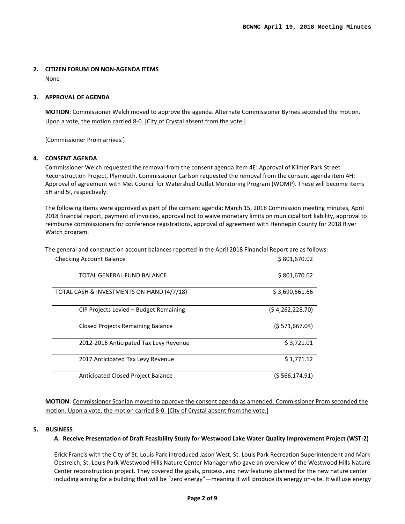## **2. CITIZEN FORUM ON NON-AGENDA ITEMS**

None

#### **3. APPROVAL OF AGENDA**

**MOTION**: Commissioner Welch moved to approve the agenda. Alternate Commissioner Byrnes seconded the motion. Upon a vote, the motion carried 8-0. [City of Crystal absent from the vote.]

[Commissioner Prom arrives.]

#### **4. CONSENT AGENDA**

Commissioner Welch requested the removal from the consent agenda item 4E: Approval of Kilmer Park Street Reconstruction Project, Plymouth. Commissioner Carlson requested the removal from the consent agenda item 4H: Approval of agreement with Met Council for Watershed Outlet Monitoring Program (WOMP). These will become items 5H and 5I, respectively.

The following items were approved as part of the consent agenda: March 15, 2018 Commission meeting minutes, April 2018 financial report, payment of invoices, approval not to waive monetary limits on municipal tort liability, approval to reimburse commissioners for conference registrations, approval of agreement with Hennepin County for 2018 River Watch program.

The general and construction account balances reported in the April 2018 Financial Report are as follows:

| TOTAL GENERAL FUND BALANCE                | \$801,670.02      |
|-------------------------------------------|-------------------|
| TOTAL CASH & INVESTMENTS ON-HAND (4/7/18) | \$3,690,561.66    |
| CIP Projects Levied – Budget Remaining    | (54, 262, 228.70) |
| <b>Closed Projects Remaining Balance</b>  | (5571,667.04)     |
| 2012-2016 Anticipated Tax Levy Revenue    | \$3,721.01        |
| 2017 Anticipated Tax Levy Revenue         | \$1,771.12        |
| Anticipated Closed Project Balance        | (\$ 566,174.91)   |

Checking Account Balance **\$ 801,670.02** 

**MOTION**: Commissioner Scanlan moved to approve the consent agenda as amended. Commissioner Prom seconded the motion. Upon a vote, the motion carried 8-0. [City of Crystal absent from the vote.]

## **5. BUSINESS**

#### **A. Receive Presentation of Draft Feasibility Study for Westwood Lake Water Quality Improvement Project (WST-2)**

Erick Francis with the City of St. Louis Park introduced Jason West, St. Louis Park Recreation Superintendent and Mark Oestreich, St. Louis Park Westwood Hills Nature Center Manager who gave an overview of the Westwood Hills Nature Center reconstruction project. They covered the goals, process, and new features planned for the new nature center including aiming for a building that will be "zero energy"—meaning it will produce its energy on-site. It will use energy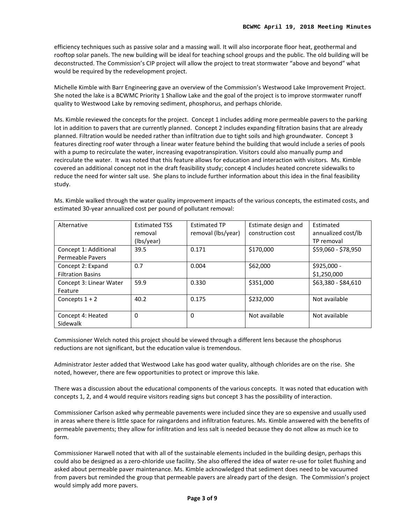efficiency techniques such as passive solar and a massing wall. It will also incorporate floor heat, geothermal and rooftop solar panels. The new building will be ideal for teaching school groups and the public. The old building will be deconstructed. The Commission's CIP project will allow the project to treat stormwater "above and beyond" what would be required by the redevelopment project.

Michelle Kimble with Barr Engineering gave an overview of the Commission's Westwood Lake Improvement Project. She noted the lake is a BCWMC Priority 1 Shallow Lake and the goal of the project is to improve stormwater runoff quality to Westwood Lake by removing sediment, phosphorus, and perhaps chloride.

Ms. Kimble reviewed the concepts for the project. Concept 1 includes adding more permeable pavers to the parking lot in addition to pavers that are currently planned. Concept 2 includes expanding filtration basins that are already planned. Filtration would be needed rather than infiltration due to tight soils and high groundwater. Concept 3 features directing roof water through a linear water feature behind the building that would include a series of pools with a pump to recirculate the water, increasing evapotranspiration. Visitors could also manually pump and recirculate the water. It was noted that this feature allows for education and interaction with visitors. Ms. Kimble covered an additional concept not in the draft feasibility study; concept 4 includes heated concrete sidewalks to reduce the need for winter salt use. She plans to include further information about this idea in the final feasibility study.

| Alternative                                      | <b>Estimated TSS</b><br>removal | <b>Estimated TP</b><br>removal (lbs/year) | Estimate design and<br>construction cost | Estimated<br>annualized cost/lb |
|--------------------------------------------------|---------------------------------|-------------------------------------------|------------------------------------------|---------------------------------|
|                                                  | (lbs/year)                      |                                           |                                          | TP removal                      |
| Concept 1: Additional<br><b>Permeable Pavers</b> | 39.5                            | 0.171                                     | \$170,000                                | \$59,060 - \$78,950             |
| Concept 2: Expand<br><b>Filtration Basins</b>    | 0.7                             | 0.004                                     | \$62,000                                 | \$925,000 -<br>\$1,250,000      |
| Concept 3: Linear Water<br>Feature               | 59.9                            | 0.330                                     | \$351,000                                | \$63,380 - \$84,610             |
| Concepts $1 + 2$                                 | 40.2                            | 0.175                                     | \$232,000                                | Not available                   |
| Concept 4: Heated<br>Sidewalk                    | 0                               | 0                                         | Not available                            | Not available                   |

Ms. Kimble walked through the water quality improvement impacts of the various concepts, the estimated costs, and estimated 30-year annualized cost per pound of pollutant removal:

Commissioner Welch noted this project should be viewed through a different lens because the phosphorus reductions are not significant, but the education value is tremendous.

Administrator Jester added that Westwood Lake has good water quality, although chlorides are on the rise. She noted, however, there are few opportunities to protect or improve this lake.

There was a discussion about the educational components of the various concepts. It was noted that education with concepts 1, 2, and 4 would require visitors reading signs but concept 3 has the possibility of interaction.

Commissioner Carlson asked why permeable pavements were included since they are so expensive and usually used in areas where there is little space for raingardens and infiltration features. Ms. Kimble answered with the benefits of permeable pavements; they allow for infiltration and less salt is needed because they do not allow as much ice to form.

Commissioner Harwell noted that with all of the sustainable elements included in the building design, perhaps this could also be designed as a zero-chloride use facility. She also offered the idea of water re-use for toilet flushing and asked about permeable paver maintenance. Ms. Kimble acknowledged that sediment does need to be vacuumed from pavers but reminded the group that permeable pavers are already part of the design. The Commission's project would simply add more pavers.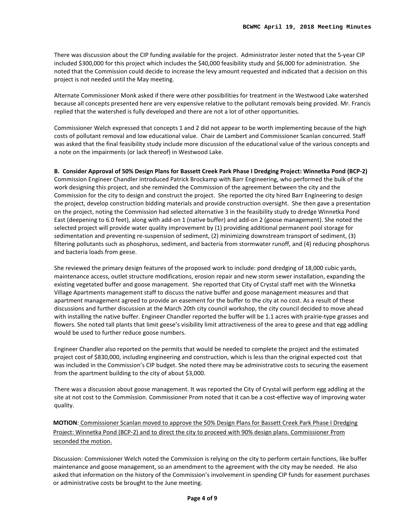There was discussion about the CIP funding available for the project. Administrator Jester noted that the 5-year CIP included \$300,000 for this project which includes the \$40,000 feasibility study and \$6,000 for administration. She noted that the Commission could decide to increase the levy amount requested and indicated that a decision on this project is not needed until the May meeting.

Alternate Commissioner Monk asked if there were other possibilities for treatment in the Westwood Lake watershed because all concepts presented here are very expensive relative to the pollutant removals being provided. Mr. Francis replied that the watershed is fully developed and there are not a lot of other opportunities.

Commissioner Welch expressed that concepts 1 and 2 did not appear to be worth implementing because of the high costs of pollutant removal and low educational value. Chair de Lambert and Commissioner Scanlan concurred. Staff was asked that the final feasibility study include more discussion of the educational value of the various concepts and a note on the impairments (or lack thereof) in Westwood Lake.

## **B. Consider Approval of 50% Design Plans for Bassett Creek Park Phase I Dredging Project: Winnetka Pond (BCP-2)**

Commission Engineer Chandler introduced Patrick Brockamp with Barr Engineering, who performed the bulk of the work designing this project, and she reminded the Commission of the agreement between the city and the Commission for the city to design and construct the project. She reported the city hired Barr Engineering to design the project, develop construction bidding materials and provide construction oversight. She then gave a presentation on the project, noting the Commission had selected alternative 3 in the feasibility study to dredge Winnetka Pond East (deepening to 6.0 feet), along with add-on 1 (native buffer) and add-on 2 (goose management). She noted the selected project will provide water quality improvement by (1) providing additional permanent pool storage for sedimentation and preventing re-suspension of sediment, (2) minimizing downstream transport of sediment, (3) filtering pollutants such as phosphorus, sediment, and bacteria from stormwater runoff, and (4) reducing phosphorus and bacteria loads from geese.

She reviewed the primary design features of the proposed work to include: pond dredging of 18,000 cubic yards, maintenance access, outlet structure modifications, erosion repair and new storm sewer installation, expanding the existing vegetated buffer and goose management. She reported that City of Crystal staff met with the Winnetka Village Apartments management staff to discuss the native buffer and goose management measures and that apartment management agreed to provide an easement for the buffer to the city at no cost. As a result of these discussions and further discussion at the March 20th city council workshop, the city council decided to move ahead with installing the native buffer. Engineer Chandler reported the buffer will be 1.1 acres with prairie-type grasses and flowers. She noted tall plants that limit geese's visibility limit attractiveness of the area to geese and that egg addling would be used to further reduce goose numbers.

Engineer Chandler also reported on the permits that would be needed to complete the project and the estimated project cost of \$830,000, including engineering and construction, which is less than the original expected cost that was included in the Commission's CIP budget. She noted there may be administrative costs to securing the easement from the apartment building to the city of about \$3,000.

There was a discussion about goose management. It was reported the City of Crystal will perform egg addling at the site at not cost to the Commission. Commissioner Prom noted that it can be a cost-effective way of improving water quality.

**MOTION**: Commissioner Scanlan moved to approve the 50% Design Plans for Bassett Creek Park Phase I Dredging Project: Winnetka Pond (BCP-2) and to direct the city to proceed with 90% design plans. Commissioner Prom seconded the motion.

Discussion: Commissioner Welch noted the Commission is relying on the city to perform certain functions, like buffer maintenance and goose management, so an amendment to the agreement with the city may be needed. He also asked that information on the history of the Commission's involvement in spending CIP funds for easement purchases or administrative costs be brought to the June meeting.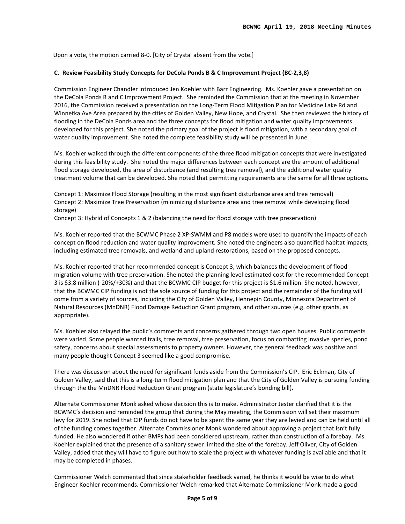## Upon a vote, the motion carried 8-0. [City of Crystal absent from the vote.]

## **C. Review Feasibility Study Concepts for DeCola Ponds B & C Improvement Project (BC-2,3,8)**

Commission Engineer Chandler introduced Jen Koehler with Barr Engineering. Ms. Koehler gave a presentation on the DeCola Ponds B and C Improvement Project. She reminded the Commission that at the meeting in November 2016, the Commission received a presentation on the Long-Term Flood Mitigation Plan for Medicine Lake Rd and Winnetka Ave Area prepared by the cities of Golden Valley, New Hope, and Crystal. She then reviewed the history of flooding in the DeCola Ponds area and the three concepts for flood mitigation and water quality improvements developed for this project. She noted the primary goal of the project is flood mitigation, with a secondary goal of water quality improvement. She noted the complete feasibility study will be presented in June.

Ms. Koehler walked through the different components of the three flood mitigation concepts that were investigated during this feasibility study. She noted the major differences between each concept are the amount of additional flood storage developed, the area of disturbance (and resulting tree removal), and the additional water quality treatment volume that can be developed. She noted that permitting requirements are the same for all three options.

Concept 1: Maximize Flood Storage (resulting in the most significant disturbance area and tree removal) Concept 2: Maximize Tree Preservation (minimizing disturbance area and tree removal while developing flood storage)

Concept 3: Hybrid of Concepts 1 & 2 (balancing the need for flood storage with tree preservation)

Ms. Koehler reported that the BCWMC Phase 2 XP-SWMM and P8 models were used to quantify the impacts of each concept on flood reduction and water quality improvement. She noted the engineers also quantified habitat impacts, including estimated tree removals, and wetland and upland restorations, based on the proposed concepts.

Ms. Koehler reported that her recommended concept is Concept 3, which balances the development of flood migration volume with tree preservation. She noted the planning level estimated cost for the recommended Concept 3 is \$3.8 million (-20%/+30%) and that the BCWMC CIP budget for this project is \$1.6 million. She noted, however, that the BCWMC CIP funding is not the sole source of funding for this project and the remainder of the funding will come from a variety of sources, including the City of Golden Valley, Hennepin County, Minnesota Department of Natural Resources (MnDNR) Flood Damage Reduction Grant program, and other sources (e.g. other grants, as appropriate).

Ms. Koehler also relayed the public's comments and concerns gathered through two open houses. Public comments were varied. Some people wanted trails, tree removal, tree preservation, focus on combatting invasive species, pond safety, concerns about special assessments to property owners. However, the general feedback was positive and many people thought Concept 3 seemed like a good compromise.

There was discussion about the need for significant funds aside from the Commission's CIP. Eric Eckman, City of Golden Valley, said that this is a long-term flood mitigation plan and that the City of Golden Valley is pursuing funding through the the MnDNR Flood Reduction Grant program (state legislature's bonding bill).

Alternate Commissioner Monk asked whose decision this is to make. Administrator Jester clarified that it is the BCWMC's decision and reminded the group that during the May meeting, the Commission will set their maximum levy for 2019. She noted that CIP funds do not have to be spent the same year they are levied and can be held until all of the funding comes together. Alternate Commissioner Monk wondered about approving a project that isn't fully funded. He also wondered if other BMPs had been considered upstream, rather than construction of a forebay. Ms. Koehler explained that the presence of a sanitary sewer limited the size of the forebay. Jeff Oliver, City of Golden Valley, added that they will have to figure out how to scale the project with whatever funding is available and that it may be completed in phases.

Commissioner Welch commented that since stakeholder feedback varied, he thinks it would be wise to do what Engineer Koehler recommends. Commissioner Welch remarked that Alternate Commissioner Monk made a good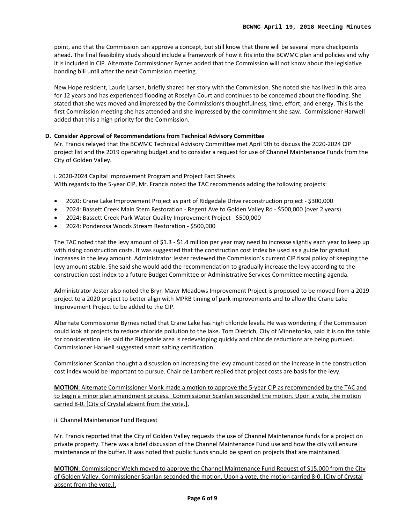point, and that the Commission can approve a concept, but still know that there will be several more checkpoints ahead. The final feasibility study should include a framework of how it fits into the BCWMC plan and policies and why it is included in CIP. Alternate Commissioner Byrnes added that the Commission will not know about the legislative bonding bill until after the next Commission meeting.

New Hope resident, Laurie Larsen, briefly shared her story with the Commission. She noted she has lived in this area for 12 years and has experienced flooding at Roselyn Court and continues to be concerned about the flooding. She stated that she was moved and impressed by the Commission's thoughtfulness, time, effort, and energy. This is the first Commission meeting she has attended and she impressed by the commitment she saw. Commissioner Harwell added that this a high priority for the Commission.

#### **D. Consider Approval of Recommendations from Technical Advisory Committee**

Mr. Francis relayed that the BCWMC Technical Advisory Committee met April 9th to discuss the 2020-2024 CIP project list and the 2019 operating budget and to consider a request for use of Channel Maintenance Funds from the City of Golden Valley.

i. 2020-2024 Capital Improvement Program and Project Fact Sheets With regards to the 5-year CIP, Mr. Francis noted the TAC recommends adding the following projects:

- 2020: Crane Lake Improvement Project as part of Ridgedale Drive reconstruction project \$300,000
- 2024: Bassett Creek Main Stem Restoration Regent Ave to Golden Valley Rd \$500,000 (over 2 years)
- 2024: Bassett Creek Park Water Quality Improvement Project \$500,000
- 2024: Ponderosa Woods Stream Restoration \$500,000

The TAC noted that the levy amount of \$1.3 - \$1.4 million per year may need to increase slightly each year to keep up with rising construction costs. It was suggested that the construction cost index be used as a guide for gradual increases in the levy amount. Administrator Jester reviewed the Commission's current CIP fiscal policy of keeping the levy amount stable. She said she would add the recommendation to gradually increase the levy according to the construction cost index to a future Budget Committee or Administrative Services Committee meeting agenda.

Administrator Jester also noted the Bryn Mawr Meadows Improvement Project is proposed to be moved from a 2019 project to a 2020 project to better align with MPRB timing of park improvements and to allow the Crane Lake Improvement Project to be added to the CIP.

Alternate Commissioner Byrnes noted that Crane Lake has high chloride levels. He was wondering if the Commission could look at projects to reduce chloride pollution to the lake. Tom Dietrich, City of Minnetonka, said it is on the table for consideration. He said the Ridgedale area is redeveloping quickly and chloride reductions are being pursued. Commissioner Harwell suggested smart salting certification.

Commissioner Scanlan thought a discussion on increasing the levy amount based on the increase in the construction cost index would be important to pursue. Chair de Lambert replied that project costs are basis for the levy.

**MOTION**: Alternate Commissioner Monk made a motion to approve the 5-year CIP as recommended by the TAC and to begin a minor plan amendment process. Commissioner Scanlan seconded the motion. Upon a vote, the motion carried 8-0. [City of Crystal absent from the vote.].

ii. Channel Maintenance Fund Request

Mr. Francis reported that the City of Golden Valley requests the use of Channel Maintenance funds for a project on private property. There was a brief discussion of the Channel Maintenance Fund use and how the city will ensure maintenance of the buffer. It was noted that public funds should be spent on projects that are maintained.

**MOTION**: Commissioner Welch moved to approve the Channel Maintenance Fund Request of \$15,000 from the City of Golden Valley. Commissioner Scanlan seconded the motion. Upon a vote, the motion carried 8-0. [City of Crystal absent from the vote.].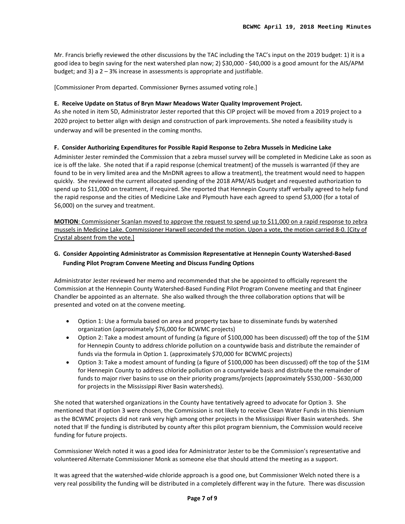Mr. Francis briefly reviewed the other discussions by the TAC including the TAC's input on the 2019 budget: 1) it is a good idea to begin saving for the next watershed plan now; 2) \$30,000 - \$40,000 is a good amount for the AIS/APM budget; and 3) a 2 – 3% increase in assessments is appropriate and justifiable.

[Commissioner Prom departed. Commissioner Byrnes assumed voting role.]

### **E. Receive Update on Status of Bryn Mawr Meadows Water Quality Improvement Project.**

As she noted in item 5D, Administrator Jester reported that this CIP project will be moved from a 2019 project to a 2020 project to better align with design and construction of park improvements. She noted a feasibility study is underway and will be presented in the coming months.

#### **F. Consider Authorizing Expenditures for Possible Rapid Response to Zebra Mussels in Medicine Lake**

Administer Jester reminded the Commission that a zebra mussel survey will be completed in Medicine Lake as soon as ice is off the lake. She noted that if a rapid response (chemical treatment) of the mussels is warranted (if they are found to be in very limited area and the MnDNR agrees to allow a treatment), the treatment would need to happen quickly. She reviewed the current allocated spending of the 2018 APM/AIS budget and requested authorization to spend up to \$11,000 on treatment, if required. She reported that Hennepin County staff verbally agreed to help fund the rapid response and the cities of Medicine Lake and Plymouth have each agreed to spend \$3,000 (for a total of \$6,000) on the survey and treatment.

**MOTION**: Commissioner Scanlan moved to approve the request to spend up to \$11,000 on a rapid response to zebra mussels in Medicine Lake. Commissioner Harwell seconded the motion. Upon a vote, the motion carried 8-0. [City of Crystal absent from the vote.]

## **G. Consider Appointing Administrator as Commission Representative at Hennepin County Watershed-Based Funding Pilot Program Convene Meeting and Discuss Funding Options**

Administrator Jester reviewed her memo and recommended that she be appointed to officially represent the Commission at the Hennepin County Watershed-Based Funding Pilot Program Convene meeting and that Engineer Chandler be appointed as an alternate. She also walked through the three collaboration options that will be presented and voted on at the convene meeting.

- Option 1: Use a formula based on area and property tax base to disseminate funds by watershed organization (approximately \$76,000 for BCWMC projects)
- Option 2: Take a modest amount of funding (a figure of \$100,000 has been discussed) off the top of the \$1M for Hennepin County to address chloride pollution on a countywide basis and distribute the remainder of funds via the formula in Option 1. (approximately \$70,000 for BCWMC projects)
- Option 3: Take a modest amount of funding (a figure of \$100,000 has been discussed) off the top of the \$1M for Hennepin County to address chloride pollution on a countywide basis and distribute the remainder of funds to major river basins to use on their priority programs/projects (approximately \$530,000 - \$630,000 for projects in the Mississippi River Basin watersheds).

She noted that watershed organizations in the County have tentatively agreed to advocate for Option 3. She mentioned that if option 3 were chosen, the Commission is not likely to receive Clean Water Funds in this biennium as the BCWMC projects did not rank very high among other projects in the Mississippi River Basin watersheds. She noted that IF the funding is distributed by county after this pilot program biennium, the Commission would receive funding for future projects.

Commissioner Welch noted it was a good idea for Administrator Jester to be the Commission's representative and volunteered Alternate Commissioner Monk as someone else that should attend the meeting as a support.

It was agreed that the watershed-wide chloride approach is a good one, but Commissioner Welch noted there is a very real possibility the funding will be distributed in a completely different way in the future. There was discussion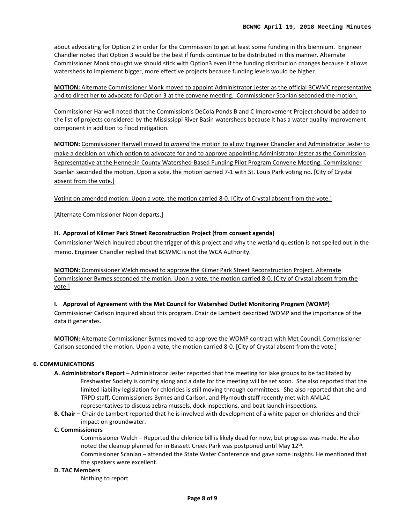about advocating for Option 2 in order for the Commission to get at least some funding in this biennium. Engineer Chandler noted that Option 3 would be the best if funds continue to be distributed in this manner. Alternate Commissioner Monk thought we should stick with Option3 even if the funding distribution changes because it allows watersheds to implement bigger, more effective projects because funding levels would be higher.

**MOTION:** Alternate Commissioner Monk moved to appoint Administrator Jester as the official BCWMC representative and to direct her to advocate for Option 3 at the convene meeting. Commissioner Scanlan seconded the motion.

Commissioner Harwell noted that the Commission's DeCola Ponds B and C Improvement Project should be added to the list of projects considered by the Mississippi River Basin watersheds because it has a water quality improvement component in addition to flood mitigation.

**MOTION:** Commissioner Harwell moved to *amend* the motion to allow Engineer Chandler and Administrator Jester to make a decision on which option to advocate for and to approve appointing Administrator Jester as the Commission Representative at the Hennepin County Watershed-Based Funding Pilot Program Convene Meeting. Commissioner Scanlan seconded the motion. Upon a vote, the motion carried 7-1 with St. Louis Park voting no. [City of Crystal absent from the vote.]

Voting on amended motion: Upon a vote, the motion carried 8-0. [City of Crystal absent from the vote.]

[Alternate Commissioner Noon departs.]

## **H. Approval of Kilmer Park Street Reconstruction Project (from consent agenda)**

Commissioner Welch inquired about the trigger of this project and why the wetland question is not spelled out in the memo. Engineer Chandler replied that BCWMC is not the WCA Authority.

**MOTION:** Commissioner Welch moved to approve the Kilmer Park Street Reconstruction Project. Alternate Commissioner Byrnes seconded the motion. Upon a vote, the motion carried 8-0. [City of Crystal absent from the vote.]

**I. Approval of Agreement with the Met Council for Watershed Outlet Monitoring Program (WOMP)**

Commissioner Carlson inquired about this program. Chair de Lambert described WOMP and the importance of the data it generates.

**MOTION:** Alternate Commissioner Byrnes moved to approve the WOMP contract with Met Council. Commissioner Carlson seconded the motion. Upon a vote, the motion carried 8-0. [City of Crystal absent from the vote.]

## **6. COMMUNICATIONS**

- **A. Administrator's Report** Administrator Jester reported that the meeting for lake groups to be facilitated by Freshwater Society is coming along and a date for the meeting will be set soon. She also reported that the limited liability legislation for chlorides is still moving through committees. She also reported that she and TRPD staff, Commissioners Byrnes and Carlson, and Plymouth staff recently met with AMLAC representatives to discuss zebra mussels, dock inspections, and boat launch inspections.
- **B. Chair –** Chair de Lambert reported that he is involved with development of a white paper on chlorides and their impact on groundwater.

#### **C. Commissioners**

Commissioner Welch – Reported the chloride bill is likely dead for now, but progress was made. He also noted the cleanup planned for in Bassett Creek Park was postponed until May 12th.

Commissioner Scanlan – attended the State Water Conference and gave some insights. He mentioned that the speakers were excellent.

#### **D. TAC Members**

Nothing to report